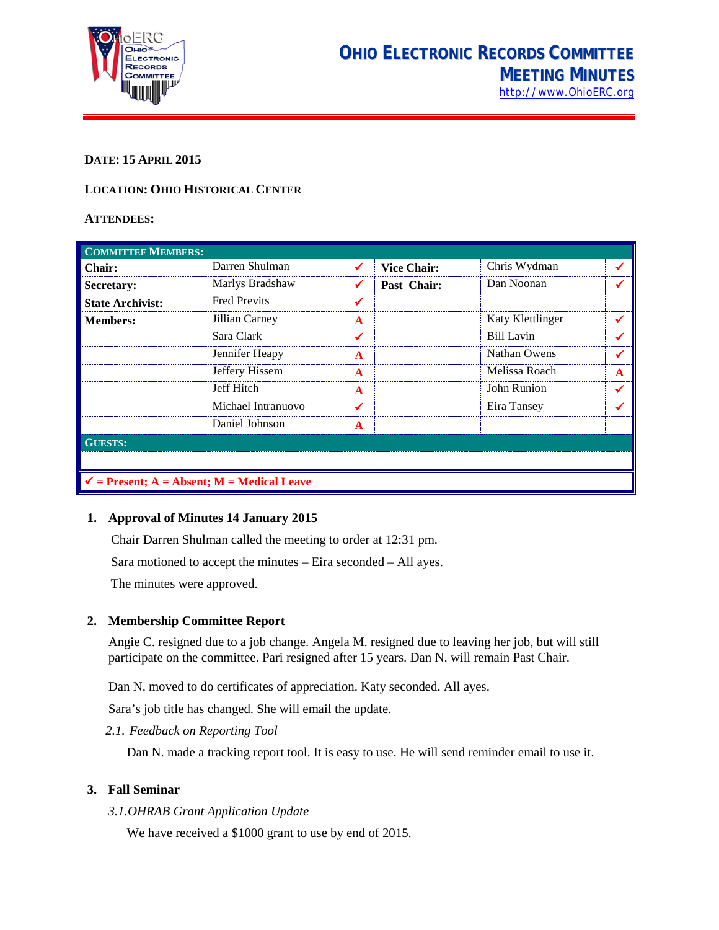

## **DATE: 15 APRIL 2015**

## **LOCATION: OHIO HISTORICAL CENTER**

#### **ATTENDEES:**

| <b>COMMITTEE MEMBERS:</b>                             |                     |   |                    |                   |  |  |
|-------------------------------------------------------|---------------------|---|--------------------|-------------------|--|--|
| Chair:                                                | Darren Shulman      |   | <b>Vice Chair:</b> | Chris Wydman      |  |  |
| Secretary:                                            | Marlys Bradshaw     |   | Past Chair:        | Dan Noonan        |  |  |
| <b>State Archivist:</b>                               | <b>Fred Previts</b> |   |                    |                   |  |  |
| <b>Members:</b>                                       | Jillian Carney      | A |                    | Katy Klettlinger  |  |  |
|                                                       | Sara Clark          |   |                    | <b>Bill Lavin</b> |  |  |
|                                                       | Jennifer Heapy      | A |                    | Nathan Owens      |  |  |
|                                                       | Jeffery Hissem      | A |                    | Melissa Roach     |  |  |
|                                                       | Jeff Hitch          | A |                    | John Runion       |  |  |
|                                                       | Michael Intranuovo  |   |                    | Eira Tansey       |  |  |
|                                                       | Daniel Johnson      | A |                    |                   |  |  |
| <b>GUESTS:</b>                                        |                     |   |                    |                   |  |  |
|                                                       |                     |   |                    |                   |  |  |
| $\checkmark$ = Present; A = Absent; M = Medical Leave |                     |   |                    |                   |  |  |

#### **1. Approval of Minutes 14 January 2015**

Chair Darren Shulman called the meeting to order at 12:31 pm.

Sara motioned to accept the minutes – Eira seconded – All ayes.

The minutes were approved.

#### **2. Membership Committee Report**

Angie C. resigned due to a job change. Angela M. resigned due to leaving her job, but will still participate on the committee. Pari resigned after 15 years. Dan N. will remain Past Chair.

Dan N. moved to do certificates of appreciation. Katy seconded. All ayes.

Sara's job title has changed. She will email the update.

*2.1. Feedback on Reporting Tool*

Dan N. made a tracking report tool. It is easy to use. He will send reminder email to use it.

## **3. Fall Seminar**

*3.1.OHRAB Grant Application Update*

We have received a \$1000 grant to use by end of 2015.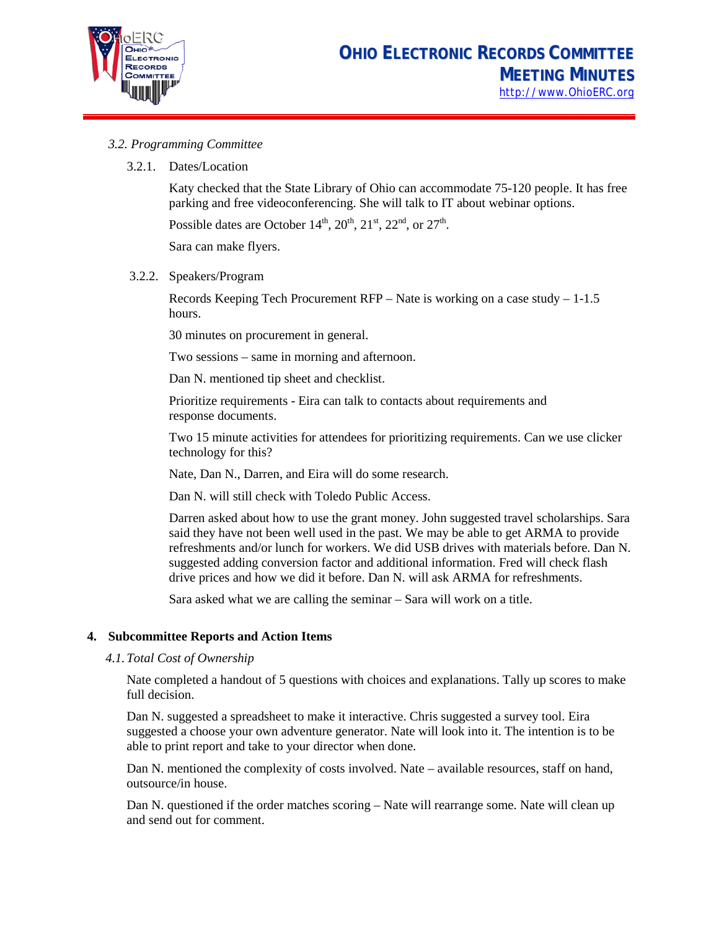

## *3.2. Programming Committee*

#### 3.2.1. Dates/Location

Katy checked that the State Library of Ohio can accommodate 75-120 people. It has free parking and free videoconferencing. She will talk to IT about webinar options.

Possible dates are October 14<sup>th</sup>, 20<sup>th</sup>, 21<sup>st</sup>, 22<sup>nd</sup>, or 27<sup>th</sup>.

Sara can make flyers.

#### 3.2.2. Speakers/Program

Records Keeping Tech Procurement RFP – Nate is working on a case study – 1-1.5 hours.

30 minutes on procurement in general.

Two sessions – same in morning and afternoon.

Dan N. mentioned tip sheet and checklist.

Prioritize requirements - Eira can talk to contacts about requirements and response documents.

Two 15 minute activities for attendees for prioritizing requirements. Can we use clicker technology for this?

Nate, Dan N., Darren, and Eira will do some research.

Dan N. will still check with Toledo Public Access.

Darren asked about how to use the grant money. John suggested travel scholarships. Sara said they have not been well used in the past. We may be able to get ARMA to provide refreshments and/or lunch for workers. We did USB drives with materials before. Dan N. suggested adding conversion factor and additional information. Fred will check flash drive prices and how we did it before. Dan N. will ask ARMA for refreshments.

Sara asked what we are calling the seminar – Sara will work on a title.

#### **4. Subcommittee Reports and Action Items**

#### *4.1.Total Cost of Ownership*

Nate completed a handout of 5 questions with choices and explanations. Tally up scores to make full decision.

Dan N. suggested a spreadsheet to make it interactive. Chris suggested a survey tool. Eira suggested a choose your own adventure generator. Nate will look into it. The intention is to be able to print report and take to your director when done.

Dan N. mentioned the complexity of costs involved. Nate – available resources, staff on hand, outsource/in house.

Dan N. questioned if the order matches scoring – Nate will rearrange some. Nate will clean up and send out for comment.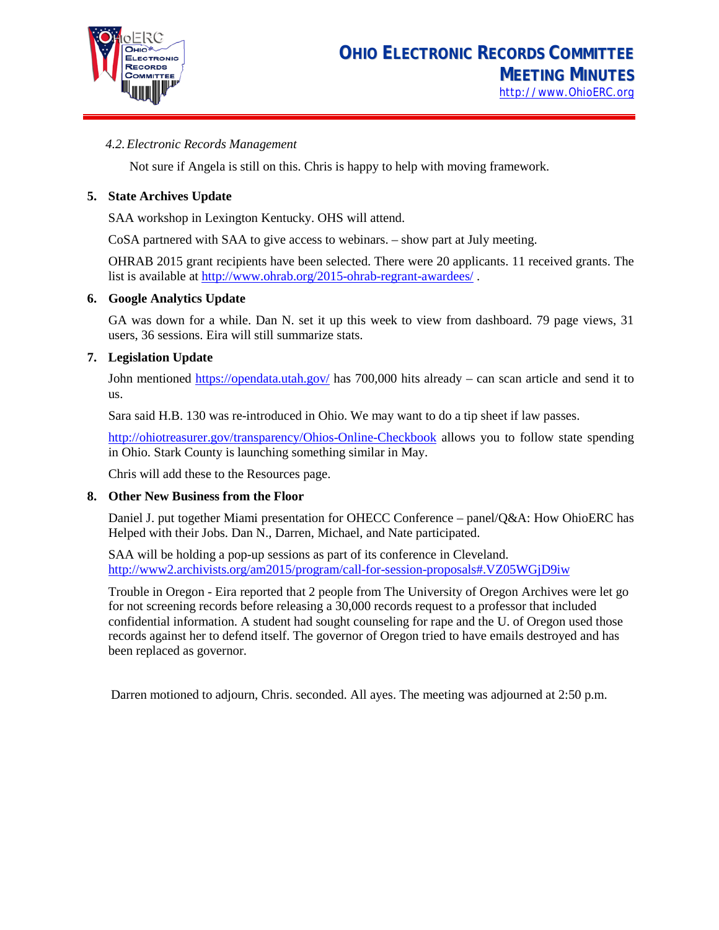

## *4.2.Electronic Records Management*

Not sure if Angela is still on this. Chris is happy to help with moving framework.

## **5. State Archives Update**

SAA workshop in Lexington Kentucky. OHS will attend.

CoSA partnered with SAA to give access to webinars. – show part at July meeting.

OHRAB 2015 grant recipients have been selected. There were 20 applicants. 11 received grants. The list is available a[t http://www.ohrab.org/2015-ohrab-regrant-awardees/](http://www.ohrab.org/2015-ohrab-regrant-awardees/) .

#### **6. Google Analytics Update**

GA was down for a while. Dan N. set it up this week to view from dashboard. 79 page views, 31 users, 36 sessions. Eira will still summarize stats.

#### **7. Legislation Update**

John mentioned<https://opendata.utah.gov/> has 700,000 hits already – can scan article and send it to us.

Sara said H.B. 130 was re-introduced in Ohio. We may want to do a tip sheet if law passes.

<http://ohiotreasurer.gov/transparency/Ohios-Online-Checkbook> allows you to follow state spending in Ohio. Stark County is launching something similar in May.

Chris will add these to the Resources page.

#### **8. Other New Business from the Floor**

Daniel J. put together Miami presentation for OHECC Conference – panel/Q&A: How OhioERC has Helped with their Jobs. Dan N., Darren, Michael, and Nate participated.

SAA will be holding a pop-up sessions as part of its conference in Cleveland. [http://www2.archivists.org/am2015/program/call-for-session-proposals#.VZ05WGjD9iw](http://www2.archivists.org/am2015/program/call-for-session-proposals%23.VZ05WGjD9iw)

Trouble in Oregon - Eira reported that 2 people from The University of Oregon Archives were let go for not screening records before releasing a 30,000 records request to a professor that included confidential information. A student had sought counseling for rape and the U. of Oregon used those records against her to defend itself. The governor of Oregon tried to have emails destroyed and has been replaced as governor.

Darren motioned to adjourn, Chris. seconded. All ayes. The meeting was adjourned at 2:50 p.m.